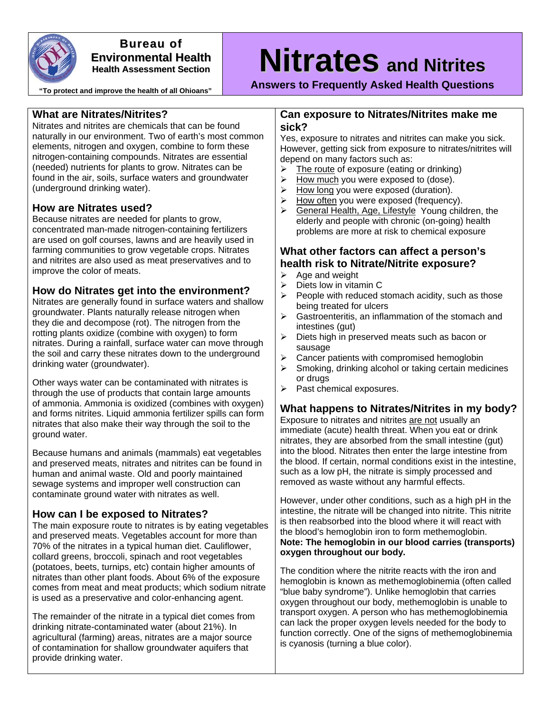

#### **Bureau of Environmental Health Health Assessment Section**

**"To protect and improve the health of all Ohioans"** 

# **Nitrates and Nitrites**

**Answers to Frequently Asked Health Questions** 

## **What are Nitrates/Nitrites?**

Nitrates and nitrites are chemicals that can be found naturally in our environment. Two of earth's most common elements, nitrogen and oxygen, combine to form these nitrogen-containing compounds. Nitrates are essential (needed) nutrients for plants to grow. Nitrates can be found in the air, soils, surface waters and groundwater (underground drinking water).

# **How are Nitrates used?**

Because nitrates are needed for plants to grow, concentrated man-made nitrogen-containing fertilizers are used on golf courses, lawns and are heavily used in farming communities to grow vegetable crops. Nitrates and nitrites are also used as meat preservatives and to improve the color of meats.

# **How do Nitrates get into the environment?**

Nitrates are generally found in surface waters and shallow groundwater. Plants naturally release nitrogen when they die and decompose (rot). The nitrogen from the rotting plants oxidize (combine with oxygen) to form nitrates. During a rainfall, surface water can move through the soil and carry these nitrates down to the underground drinking water (groundwater).

Other ways water can be contaminated with nitrates is through the use of products that contain large amounts of ammonia. Ammonia is oxidized (combines with oxygen) and forms nitrites. Liquid ammonia fertilizer spills can form nitrates that also make their way through the soil to the ground water.

Because humans and animals (mammals) eat vegetables and preserved meats, nitrates and nitrites can be found in human and animal waste. Old and poorly maintained sewage systems and improper well construction can contaminate ground water with nitrates as well.

# **How can I be exposed to Nitrates?**

The main exposure route to nitrates is by eating vegetables and preserved meats. Vegetables account for more than 70% of the nitrates in a typical human diet. Cauliflower, collard greens, broccoli, spinach and root vegetables (potatoes, beets, turnips, etc) contain higher amounts of nitrates than other plant foods. About 6% of the exposure comes from meat and meat products; which sodium nitrate is used as a preservative and color-enhancing agent.

The remainder of the nitrate in a typical diet comes from drinking nitrate-contaminated water (about 21%). In agricultural (farming) areas, nitrates are a major source of contamination for shallow groundwater aquifers that provide drinking water.

## **Can exposure to Nitrates/Nitrites make me sick?**

Yes, exposure to nitrates and nitrites can make you sick. However, getting sick from exposure to nitrates/nitrites will depend on many factors such as:

- $\triangleright$  The route of exposure (eating or drinking)
- $\triangleright$  How much you were exposed to (dose).
- ¾ How long you were exposed (duration).
- $\triangleright$  How often you were exposed (frequency).
- $\triangleright$  General Health, Age, Lifestyle Young children, the elderly and people with chronic (on-going) health problems are more at risk to chemical exposure

# **What other factors can affect a person's health risk to Nitrate/Nitrite exposure?**

- $\triangleright$  Age and weight
- $\triangleright$  Diets low in vitamin C
- $\triangleright$  People with reduced stomach acidity, such as those being treated for ulcers
- $\triangleright$  Gastroenteritis, an inflammation of the stomach and intestines (gut)
- $\triangleright$  Diets high in preserved meats such as bacon or sausage
- $\triangleright$  Cancer patients with compromised hemoglobin
- Smoking, drinking alcohol or taking certain medicines or drugs
- $\triangleright$  Past chemical exposures.

# **What happens to Nitrates/Nitrites in my body?**

Exposure to nitrates and nitrites are not usually an immediate (acute) health threat. When you eat or drink nitrates, they are absorbed from the small intestine (gut) into the blood. Nitrates then enter the large intestine from the blood. If certain, normal conditions exist in the intestine, such as a low pH, the nitrate is simply processed and removed as waste without any harmful effects.

However, under other conditions, such as a high pH in the intestine, the nitrate will be changed into nitrite. This nitrite is then reabsorbed into the blood where it will react with the blood's hemoglobin iron to form methemoglobin. **Note: The hemoglobin in our blood carries (transports) oxygen throughout our body.** 

The condition where the nitrite reacts with the iron and hemoglobin is known as methemoglobinemia (often called "blue baby syndrome"). Unlike hemoglobin that carries oxygen throughout our body, methemoglobin is unable to transport oxygen. A person who has methemoglobinemia can lack the proper oxygen levels needed for the body to function correctly. One of the signs of methemoglobinemia is cyanosis (turning a blue color).